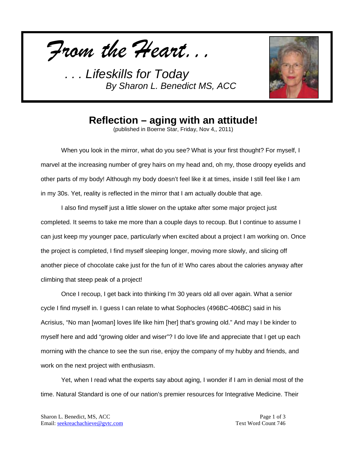*From the Heart...*



## **Reflection – aging with an attitude!**

(published in Boerne Star, Friday, Nov 4,, 2011)

When you look in the mirror, what do you see? What is your first thought? For myself, I marvel at the increasing number of grey hairs on my head and, oh my, those droopy eyelids and other parts of my body! Although my body doesn't feel like it at times, inside I still feel like I am in my 30s. Yet, reality is reflected in the mirror that I am actually double that age.

I also find myself just a little slower on the uptake after some major project just completed. It seems to take me more than a couple days to recoup. But I continue to assume I can just keep my younger pace, particularly when excited about a project I am working on. Once the project is completed, I find myself sleeping longer, moving more slowly, and slicing off another piece of chocolate cake just for the fun of it! Who cares about the calories anyway after climbing that steep peak of a project!

Once I recoup, I get back into thinking I'm 30 years old all over again. What a senior cycle I find myself in. I guess I can relate to what Sophocles (496BC-406BC) said in his Acrisius, "No man [woman] loves life like him [her] that's growing old." And may I be kinder to myself here and add "growing older and wiser"? I do love life and appreciate that I get up each morning with the chance to see the sun rise, enjoy the company of my hubby and friends, and work on the next project with enthusiasm.

Yet, when I read what the experts say about aging, I wonder if I am in denial most of the time. Natural Standard is one of our nation's premier resources for Integrative Medicine. Their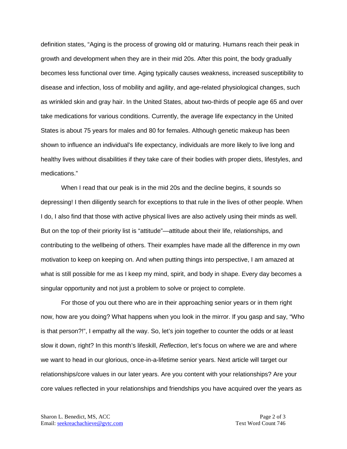definition states, "Aging is the process of growing old or maturing. Humans reach their peak in growth and development when they are in their mid 20s. After this point, the body gradually becomes less functional over time. Aging typically causes weakness, increased susceptibility to disease and infection, loss of mobility and agility, and age-related physiological changes, such as wrinkled skin and gray hair. In the United States, about two-thirds of people age 65 and over take medications for various conditions. Currently, the average life expectancy in the United States is about 75 years for males and 80 for females. Although genetic makeup has been shown to influence an individual's life expectancy, individuals are more likely to live long and healthy lives without disabilities if they take care of their bodies with proper diets, lifestyles, and medications."

When I read that our peak is in the mid 20s and the decline begins, it sounds so depressing! I then diligently search for exceptions to that rule in the lives of other people. When I do, I also find that those with active physical lives are also actively using their minds as well. But on the top of their priority list is "attitude"—attitude about their life, relationships, and contributing to the wellbeing of others. Their examples have made all the difference in my own motivation to keep on keeping on. And when putting things into perspective, I am amazed at what is still possible for me as I keep my mind, spirit, and body in shape. Every day becomes a singular opportunity and not just a problem to solve or project to complete.

For those of you out there who are in their approaching senior years or in them right now, how are you doing? What happens when you look in the mirror. If you gasp and say, "Who is that person?!", I empathy all the way. So, let's join together to counter the odds or at least slow it down, right? In this month's lifeskill, *Reflection*, let's focus on where we are and where we want to head in our glorious, once-in-a-lifetime senior years. Next article will target our relationships/core values in our later years. Are you content with your relationships? Are your core values reflected in your relationships and friendships you have acquired over the years as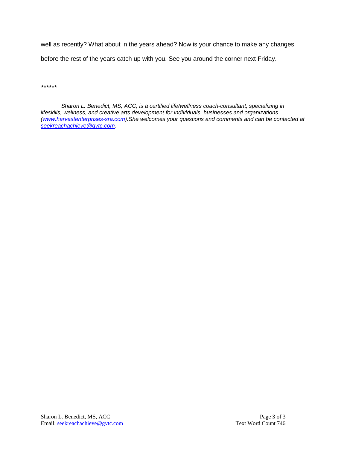well as recently? What about in the years ahead? Now is your chance to make any changes before the rest of the years catch up with you. See you around the corner next Friday.

*\*\*\*\*\*\**

*Sharon L. Benedict, MS, ACC, is a certified life/wellness coach-consultant, specializing in lifeskills, wellness, and creative arts development for individuals, businesses and organizations [\(www.harvestenterprises-sra.com\)](http://www.harvestenterprises-sra.com/).She welcomes your questions and comments and can be contacted at [seekreachachieve@gvtc.com.](mailto:seekreachachieve@gvtc.com)*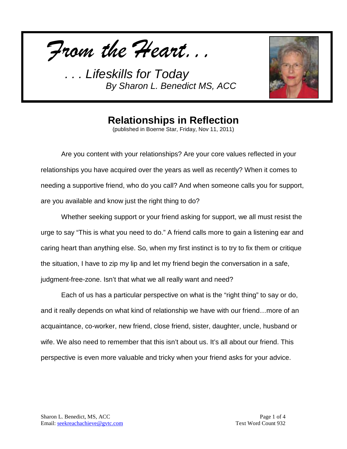*From the Heart...*



## **Relationships in Reflection**

(published in Boerne Star, Friday, Nov 11, 2011)

Are you content with your relationships? Are your core values reflected in your relationships you have acquired over the years as well as recently? When it comes to needing a supportive friend, who do you call? And when someone calls you for support, are you available and know just the right thing to do?

Whether seeking support or your friend asking for support, we all must resist the urge to say "This is what you need to do." A friend calls more to gain a listening ear and caring heart than anything else. So, when my first instinct is to try to fix them or critique the situation, I have to zip my lip and let my friend begin the conversation in a safe, judgment-free-zone. Isn't that what we all really want and need?

Each of us has a particular perspective on what is the "right thing" to say or do, and it really depends on what kind of relationship we have with our friend…more of an acquaintance, co-worker, new friend, close friend, sister, daughter, uncle, husband or wife. We also need to remember that this isn't about us. It's all about our friend. This perspective is even more valuable and tricky when your friend asks for your advice.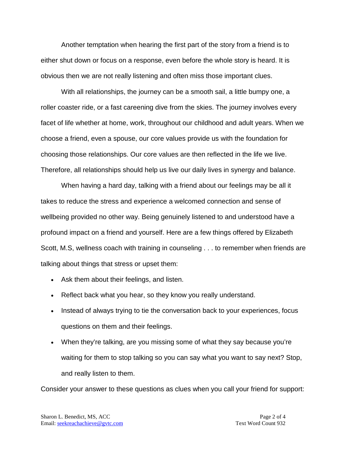Another temptation when hearing the first part of the story from a friend is to either shut down or focus on a response, even before the whole story is heard. It is obvious then we are not really listening and often miss those important clues.

With all relationships, the journey can be a smooth sail, a little bumpy one, a roller coaster ride, or a fast careening dive from the skies. The journey involves every facet of life whether at home, work, throughout our childhood and adult years. When we choose a friend, even a spouse, our core values provide us with the foundation for choosing those relationships. Our core values are then reflected in the life we live. Therefore, all relationships should help us live our daily lives in synergy and balance.

When having a hard day, talking with a friend about our feelings may be all it takes to reduce the stress and experience a welcomed connection and sense of wellbeing provided no other way. Being genuinely listened to and understood have a profound impact on a friend and yourself. Here are a few things offered by Elizabeth Scott, M.S, wellness coach with training in counseling . . . to remember when friends are talking about things that stress or upset them:

- Ask them about their feelings, and listen.
- Reflect back what you hear, so they know you really understand.
- Instead of always trying to tie the conversation back to your experiences, focus questions on them and their feelings.
- When they're talking, are you missing some of what they say because you're waiting for them to stop talking so you can say what you want to say next? Stop, and really listen to them.

Consider your answer to these questions as clues when you call your friend for support: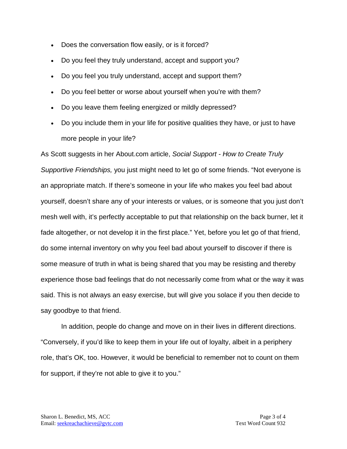- Does the conversation flow easily, or is it forced?
- Do you feel they truly understand, accept and support you?
- Do you feel you truly understand, accept and support them?
- Do you feel better or worse about yourself when you're with them?
- Do you leave them feeling energized or mildly depressed?
- Do you include them in your life for positive qualities they have, or just to have more people in your life?

As Scott suggests in her About.com article, *Social Support - How to Create Truly Supportive Friendships,* you just might need to let go of some friends. "Not everyone is an appropriate match. If there's someone in your life who makes you feel bad about yourself, doesn't share any of your interests or values, or is someone that you just don't mesh well with, it's perfectly acceptable to put that relationship on the back burner, let it fade altogether, or not develop it in the first place." Yet, before you let go of that friend, do some internal inventory on why you feel bad about yourself to discover if there is some measure of truth in what is being shared that you may be resisting and thereby experience those bad feelings that do not necessarily come from what or the way it was said. This is not always an easy exercise, but will give you solace if you then decide to say goodbye to that friend.

In addition, people do change and move on in their lives in different directions. "Conversely, if you'd like to keep them in your life out of loyalty, albeit in a periphery role, that's OK, too. However, it would be beneficial to remember not to count on them for support, if they're not able to give it to you."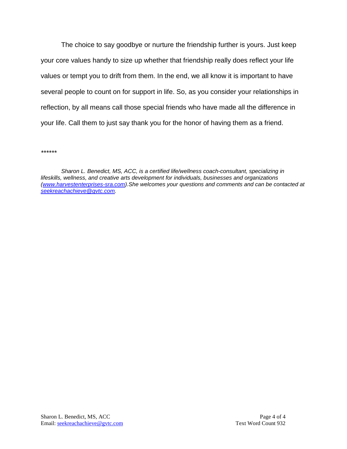The choice to say goodbye or nurture the friendship further is yours. Just keep your core values handy to size up whether that friendship really does reflect your life values or tempt you to drift from them. In the end, we all know it is important to have several people to count on for support in life. So, as you consider your relationships in reflection, by all means call those special friends who have made all the difference in your life. Call them to just say thank you for the honor of having them as a friend.

*\*\*\*\*\*\**

*Sharon L. Benedict, MS, ACC, is a certified life/wellness coach-consultant, specializing in lifeskills, wellness, and creative arts development for individuals, businesses and organizations [\(www.harvestenterprises-sra.com\)](http://www.harvestenterprises-sra.com/).She welcomes your questions and comments and can be contacted at [seekreachachieve@gvtc.com.](mailto:seekreachachieve@gvtc.com)*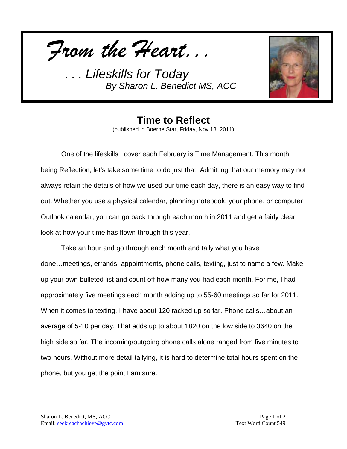



**Time to Reflect** (published in Boerne Star, Friday, Nov 18, 2011)

One of the lifeskills I cover each February is Time Management. This month being Reflection, let's take some time to do just that. Admitting that our memory may not always retain the details of how we used our time each day, there is an easy way to find out. Whether you use a physical calendar, planning notebook, your phone, or computer Outlook calendar, you can go back through each month in 2011 and get a fairly clear look at how your time has flown through this year.

Take an hour and go through each month and tally what you have done…meetings, errands, appointments, phone calls, texting, just to name a few. Make up your own bulleted list and count off how many you had each month. For me, I had approximately five meetings each month adding up to 55-60 meetings so far for 2011. When it comes to texting, I have about 120 racked up so far. Phone calls...about an average of 5-10 per day. That adds up to about 1820 on the low side to 3640 on the high side so far. The incoming/outgoing phone calls alone ranged from five minutes to two hours. Without more detail tallying, it is hard to determine total hours spent on the phone, but you get the point I am sure.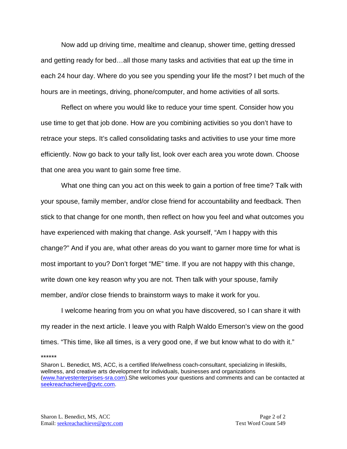Now add up driving time, mealtime and cleanup, shower time, getting dressed and getting ready for bed…all those many tasks and activities that eat up the time in each 24 hour day. Where do you see you spending your life the most? I bet much of the hours are in meetings, driving, phone/computer, and home activities of all sorts.

Reflect on where you would like to reduce your time spent. Consider how you use time to get that job done. How are you combining activities so you don't have to retrace your steps. It's called consolidating tasks and activities to use your time more efficiently. Now go back to your tally list, look over each area you wrote down. Choose that one area you want to gain some free time.

What one thing can you act on this week to gain a portion of free time? Talk with your spouse, family member, and/or close friend for accountability and feedback. Then stick to that change for one month, then reflect on how you feel and what outcomes you have experienced with making that change. Ask yourself, "Am I happy with this change?" And if you are, what other areas do you want to garner more time for what is most important to you? Don't forget "ME" time. If you are not happy with this change, write down one key reason why you are not. Then talk with your spouse, family member, and/or close friends to brainstorm ways to make it work for you.

I welcome hearing from you on what you have discovered, so I can share it with my reader in the next article. I leave you with Ralph Waldo Emerson's view on the good times. "This time, like all times, is a very good one, if we but know what to do with it."

\*\*\*\*\*\*

Sharon L. Benedict, MS, ACC, is a certified life/wellness coach-consultant, specializing in lifeskills, wellness, and creative arts development for individuals, businesses and organizations [\(www.harvestenterprises-sra.com\)](http://www.harvestenterprises-sra.com/).She welcomes your questions and comments and can be contacted at [seekreachachieve@gvtc.com.](mailto:seekreachachieve@gvtc.com)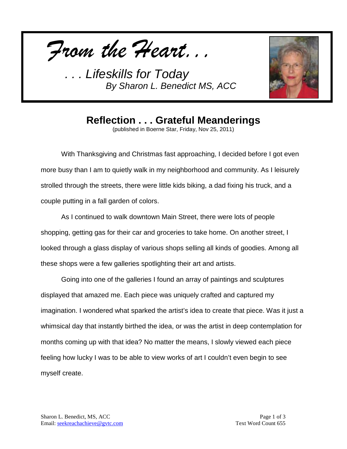*From the Heart...*



## **Reflection . . . Grateful Meanderings**

(published in Boerne Star, Friday, Nov 25, 2011)

With Thanksgiving and Christmas fast approaching, I decided before I got even more busy than I am to quietly walk in my neighborhood and community. As I leisurely strolled through the streets, there were little kids biking, a dad fixing his truck, and a couple putting in a fall garden of colors.

As I continued to walk downtown Main Street, there were lots of people shopping, getting gas for their car and groceries to take home. On another street, I looked through a glass display of various shops selling all kinds of goodies. Among all these shops were a few galleries spotlighting their art and artists.

Going into one of the galleries I found an array of paintings and sculptures displayed that amazed me. Each piece was uniquely crafted and captured my imagination. I wondered what sparked the artist's idea to create that piece. Was it just a whimsical day that instantly birthed the idea, or was the artist in deep contemplation for months coming up with that idea? No matter the means, I slowly viewed each piece feeling how lucky I was to be able to view works of art I couldn't even begin to see myself create.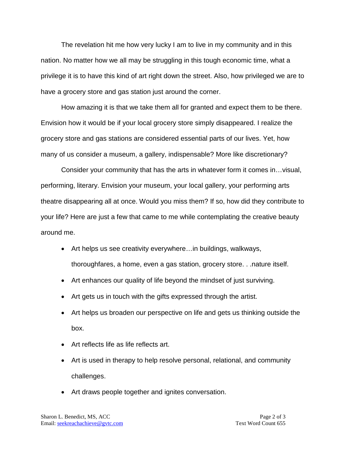The revelation hit me how very lucky I am to live in my community and in this nation. No matter how we all may be struggling in this tough economic time, what a privilege it is to have this kind of art right down the street. Also, how privileged we are to have a grocery store and gas station just around the corner.

How amazing it is that we take them all for granted and expect them to be there. Envision how it would be if your local grocery store simply disappeared. I realize the grocery store and gas stations are considered essential parts of our lives. Yet, how many of us consider a museum, a gallery, indispensable? More like discretionary?

Consider your community that has the arts in whatever form it comes in…visual, performing, literary. Envision your museum, your local gallery, your performing arts theatre disappearing all at once. Would you miss them? If so, how did they contribute to your life? Here are just a few that came to me while contemplating the creative beauty around me.

- Art helps us see creativity everywhere…in buildings, walkways, thoroughfares, a home, even a gas station, grocery store. . .nature itself.
- Art enhances our quality of life beyond the mindset of just surviving.
- Art gets us in touch with the gifts expressed through the artist.
- Art helps us broaden our perspective on life and gets us thinking outside the box.
- Art reflects life as life reflects art.
- Art is used in therapy to help resolve personal, relational, and community challenges.
- Art draws people together and ignites conversation.